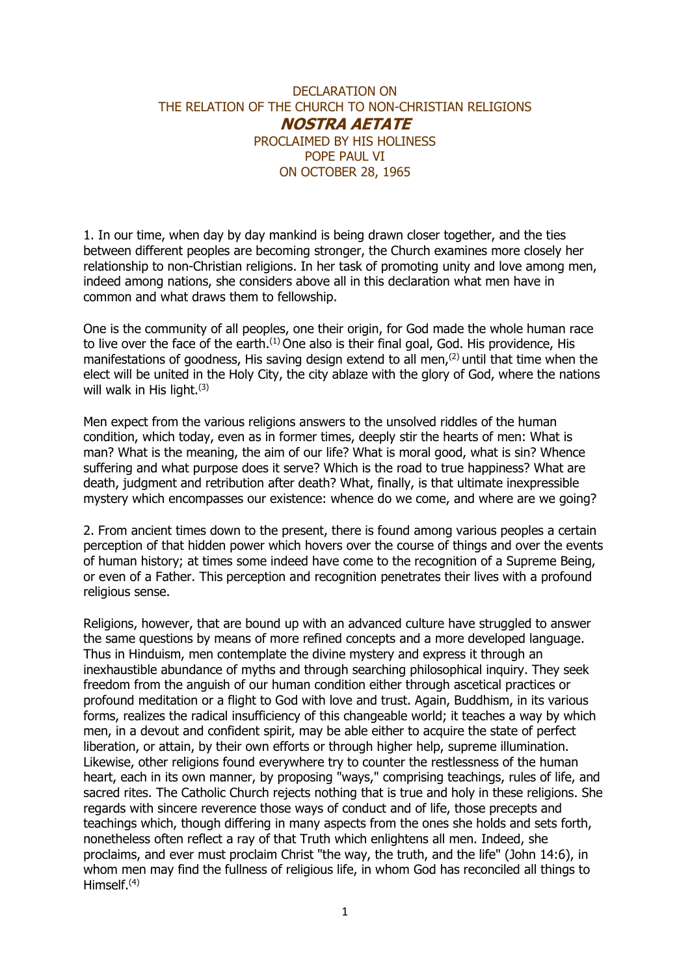## DECLARATION ON THE RELATION OF THE CHURCH TO NON-CHRISTIAN RELIGIONS **NOSTRA AETATE** PROCLAIMED BY HIS HOLINESS POPE PAUL VI ON OCTOBER 28, 1965

1. In our time, when day by day mankind is being drawn closer together, and the ties between different peoples are becoming stronger, the Church examines more closely her relationship to non-Christian religions. In her task of promoting unity and love among men, indeed among nations, she considers above all in this declaration what men have in common and what draws them to fellowship.

One is the community of all peoples, one their origin, for God made the whole human race to live over the face of the earth.<sup> $(1)$ </sup> One also is their final goal, God. His providence, His manifestations of goodness, His saving design extend to all men,<sup> $(2)$ </sup> until that time when the elect will be united in the Holy City, the city ablaze with the glory of God, where the nations will walk in His light.<sup>(3)</sup>

Men expect from the various religions answers to the unsolved riddles of the human condition, which today, even as in former times, deeply stir the hearts of men: What is man? What is the meaning, the aim of our life? What is moral good, what is sin? Whence suffering and what purpose does it serve? Which is the road to true happiness? What are death, judgment and retribution after death? What, finally, is that ultimate inexpressible mystery which encompasses our existence: whence do we come, and where are we going?

2. From ancient times down to the present, there is found among various peoples a certain perception of that hidden power which hovers over the course of things and over the events of human history; at times some indeed have come to the recognition of a Supreme Being, or even of a Father. This perception and recognition penetrates their lives with a profound religious sense.

Religions, however, that are bound up with an advanced culture have struggled to answer the same questions by means of more refined concepts and a more developed language. Thus in Hinduism, men contemplate the divine mystery and express it through an inexhaustible abundance of myths and through searching philosophical inquiry. They seek freedom from the anguish of our human condition either through ascetical practices or profound meditation or a flight to God with love and trust. Again, Buddhism, in its various forms, realizes the radical insufficiency of this changeable world; it teaches a way by which men, in a devout and confident spirit, may be able either to acquire the state of perfect liberation, or attain, by their own efforts or through higher help, supreme illumination. Likewise, other religions found everywhere try to counter the restlessness of the human heart, each in its own manner, by proposing "ways," comprising teachings, rules of life, and sacred rites. The Catholic Church rejects nothing that is true and holy in these religions. She regards with sincere reverence those ways of conduct and of life, those precepts and teachings which, though differing in many aspects from the ones she holds and sets forth, nonetheless often reflect a ray of that Truth which enlightens all men. Indeed, she proclaims, and ever must proclaim Christ "the way, the truth, and the life" (John 14:6), in whom men may find the fullness of religious life, in whom God has reconciled all things to Himself.(4)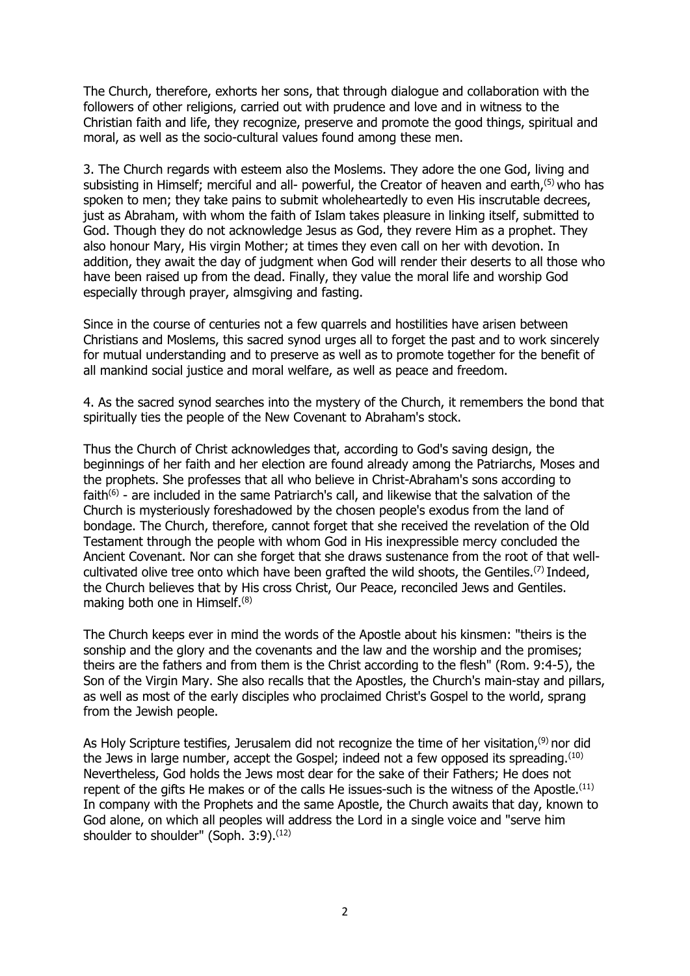The Church, therefore, exhorts her sons, that through dialogue and collaboration with the followers of other religions, carried out with prudence and love and in witness to the Christian faith and life, they recognize, preserve and promote the good things, spiritual and moral, as well as the socio-cultural values found among these men.

3. The Church regards with esteem also the Moslems. They adore the one God, living and subsisting in Himself; merciful and all- powerful, the Creator of heaven and earth,<sup>(5)</sup> who has spoken to men; they take pains to submit wholeheartedly to even His inscrutable decrees, just as Abraham, with whom the faith of Islam takes pleasure in linking itself, submitted to God. Though they do not acknowledge Jesus as God, they revere Him as a prophet. They also honour Mary, His virgin Mother; at times they even call on her with devotion. In addition, they await the day of judgment when God will render their deserts to all those who have been raised up from the dead. Finally, they value the moral life and worship God especially through prayer, almsgiving and fasting.

Since in the course of centuries not a few quarrels and hostilities have arisen between Christians and Moslems, this sacred synod urges all to forget the past and to work sincerely for mutual understanding and to preserve as well as to promote together for the benefit of all mankind social justice and moral welfare, as well as peace and freedom.

4. As the sacred synod searches into the mystery of the Church, it remembers the bond that spiritually ties the people of the New Covenant to Abraham's stock.

Thus the Church of Christ acknowledges that, according to God's saving design, the beginnings of her faith and her election are found already among the Patriarchs, Moses and the prophets. She professes that all who believe in Christ-Abraham's sons according to faith $(6)$  - are included in the same Patriarch's call, and likewise that the salvation of the Church is mysteriously foreshadowed by the chosen people's exodus from the land of bondage. The Church, therefore, cannot forget that she received the revelation of the Old Testament through the people with whom God in His inexpressible mercy concluded the Ancient Covenant. Nor can she forget that she draws sustenance from the root of that wellcultivated olive tree onto which have been grafted the wild shoots, the Gentiles.(7) Indeed, the Church believes that by His cross Christ, Our Peace, reconciled Jews and Gentiles. making both one in Himself.(8)

The Church keeps ever in mind the words of the Apostle about his kinsmen: "theirs is the sonship and the glory and the covenants and the law and the worship and the promises; theirs are the fathers and from them is the Christ according to the flesh" (Rom. 9:4-5), the Son of the Virgin Mary. She also recalls that the Apostles, the Church's main-stay and pillars, as well as most of the early disciples who proclaimed Christ's Gospel to the world, sprang from the Jewish people.

As Holy Scripture testifies, Jerusalem did not recognize the time of her visitation,<sup>(9)</sup> nor did the Jews in large number, accept the Gospel; indeed not a few opposed its spreading.<sup>(10)</sup> Nevertheless, God holds the Jews most dear for the sake of their Fathers; He does not repent of the gifts He makes or of the calls He issues-such is the witness of the Apostle.<sup>(11)</sup> In company with the Prophets and the same Apostle, the Church awaits that day, known to God alone, on which all peoples will address the Lord in a single voice and "serve him shoulder to shoulder" (Soph. 3:9).<sup>(12)</sup>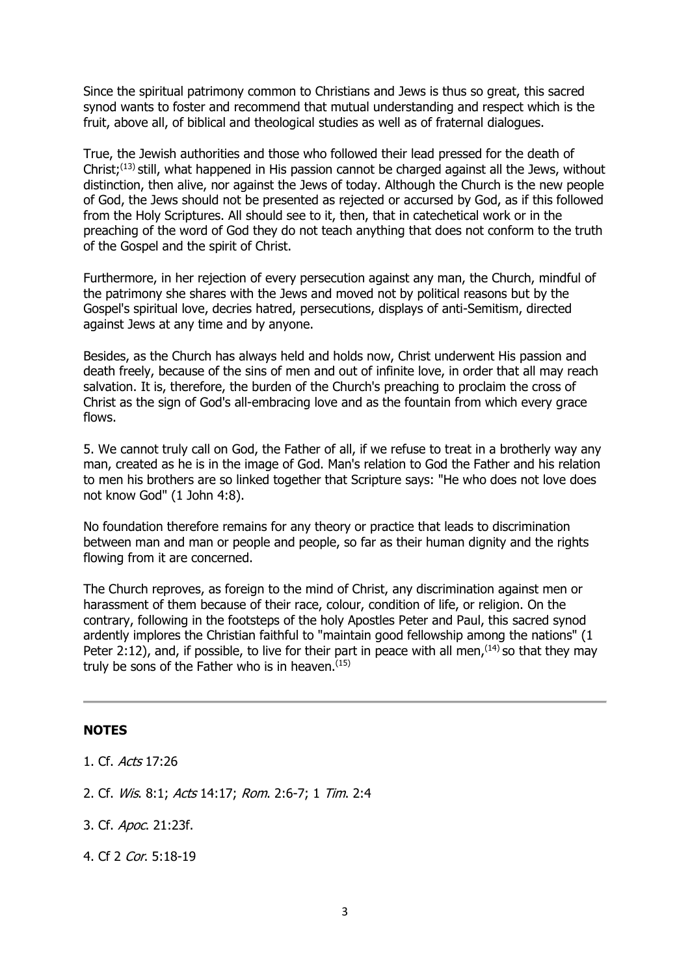Since the spiritual patrimony common to Christians and Jews is thus so great, this sacred synod wants to foster and recommend that mutual understanding and respect which is the fruit, above all, of biblical and theological studies as well as of fraternal dialogues.

True, the Jewish authorities and those who followed their lead pressed for the death of Christ;<sup>(13)</sup> still, what happened in His passion cannot be charged against all the Jews, without distinction, then alive, nor against the Jews of today. Although the Church is the new people of God, the Jews should not be presented as rejected or accursed by God, as if this followed from the Holy Scriptures. All should see to it, then, that in catechetical work or in the preaching of the word of God they do not teach anything that does not conform to the truth of the Gospel and the spirit of Christ.

Furthermore, in her rejection of every persecution against any man, the Church, mindful of the patrimony she shares with the Jews and moved not by political reasons but by the Gospel's spiritual love, decries hatred, persecutions, displays of anti-Semitism, directed against Jews at any time and by anyone.

Besides, as the Church has always held and holds now, Christ underwent His passion and death freely, because of the sins of men and out of infinite love, in order that all may reach salvation. It is, therefore, the burden of the Church's preaching to proclaim the cross of Christ as the sign of God's all-embracing love and as the fountain from which every grace flows.

5. We cannot truly call on God, the Father of all, if we refuse to treat in a brotherly way any man, created as he is in the image of God. Man's relation to God the Father and his relation to men his brothers are so linked together that Scripture says: "He who does not love does not know God" (1 John 4:8).

No foundation therefore remains for any theory or practice that leads to discrimination between man and man or people and people, so far as their human dignity and the rights flowing from it are concerned.

The Church reproves, as foreign to the mind of Christ, any discrimination against men or harassment of them because of their race, colour, condition of life, or religion. On the contrary, following in the footsteps of the holy Apostles Peter and Paul, this sacred synod ardently implores the Christian faithful to "maintain good fellowship among the nations" (1 Peter 2:12), and, if possible, to live for their part in peace with all men,  $(14)$  so that they may truly be sons of the Father who is in heaven.  $(15)$ 

## **NOTES**

- 1. Cf. Acts 17:26
- 2. Cf. Wis. 8:1; Acts 14:17; Rom. 2:6-7; 1 Tim. 2:4
- 3. Cf. Apoc. 21:23f.
- 4. Cf 2 Cor. 5:18-19